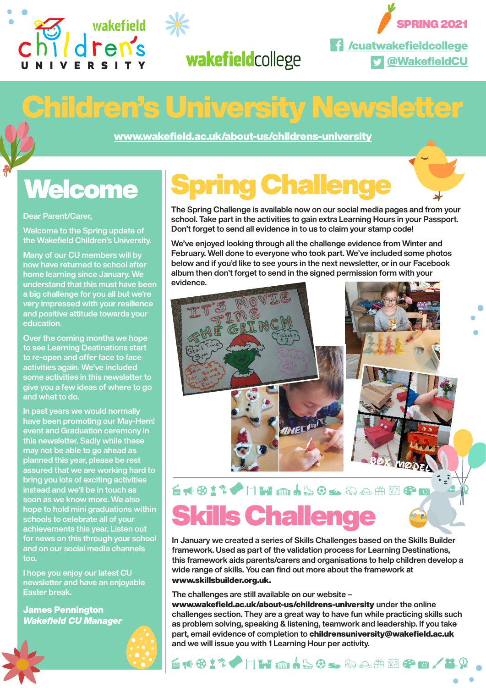





@WakefieldCU

## Children's University Newsletter

www.wakefield.ac.uk/about-us/childrens-university

## **Welcome**

#### Dear Parent/Carer,

Welcome to the Spring update of the Wakefield Children's University.

Many of our CU members will by now have returned to school after home learning since January. We understand that this must have been a big challenge for you all but we're very impressed with your resilience and positive attitude towards your education.

Over the coming months we hope to see Learning Destinations start to re-open and offer face to face activities again. We've included some activities in this newsletter to give you a few ideas of where to go and what to do.

In past years we would normally have been promoting our May-Hem! event and Graduation ceremony in this newsletter. Sadly while these may not be able to go ahead as planned this year, please be rest assured that we are working hard to bring you lots of exciting activities instead and we'll be in touch as soon as we know more. We also hope to hold mini graduations within schools to celebrate all of your achievements this year. Listen out for news on this through your school and on our social media channels too.

I hope you enjoy our latest CU newsletter and have an enjoyable Easter break.

James Pennington *Wakefield CU Manager*

## Spring Challenge

The Spring Challenge is available now on our social media pages and from your school. Take part in the activities to gain extra Learning Hours in your Passport. Don't forget to send all evidence in to us to claim your stamp code!

We've enjoyed looking through all the challenge evidence from Winter and February. Well done to everyone who took part. We've included some photos below and if you'd like to see yours in the next newsletter, or in our Facebook album then don't forget to send in the signed permission form with your evidence.



### ÉN 617 / HW må 40≤ me#M8 c **Skills Challeng**

In January we created a series of Skills Challenges based on the Skills Builder framework. Used as part of the validation process for Learning Destinations, this framework aids parents/carers and organisations to help children develop a wide range of skills. You can find out more about the framework at www.skillsbuilder.org.uk.

The challenges are still available on our website –

www.wakefield.ac.uk/about-us/childrens-university under the online challenges section. They are a great way to have fun while practicing skills such as problem solving, speaking & listening, teamwork and leadership. If you take part, email evidence of completion to childrensuniversity@wakefield.ac.uk and we will issue you with 1 Learning Hour per activity.

61817 HWM460x6em@80/20